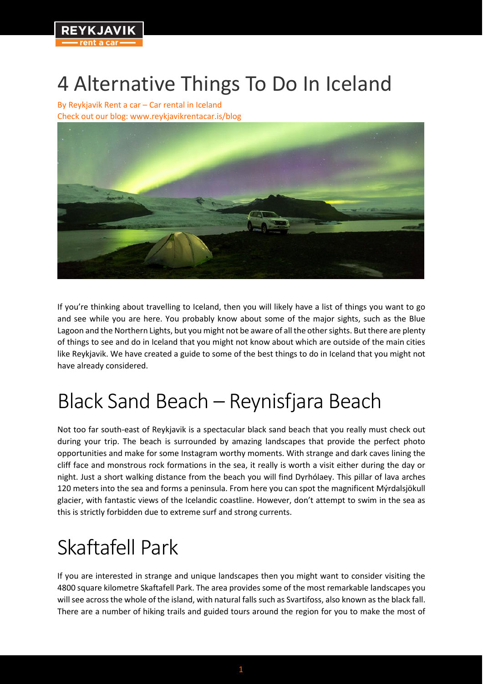

# 4 Alternative Things To Do In Iceland

By Reykjavik Rent a car – Car rental in Iceland [Check out our blog: w](https://www.reykjavikrentacar.is/blog)ww.reykjavikrentacar.is/blog



If you're thinking about travelling to Iceland, then you will likely have a list of things you want to go and see while you are here. You probably know about some of the major sights, such as the Blue Lagoon and the Northern Lights, but you might not be aware of all the other sights. But there are plenty of things to see and do in Iceland that you might not know about which are outside of the main cities like Reykjavik. We have created a guide to some of the best things to do in Iceland that you might not have already considered.

# Black Sand Beach – Reynisfjara Beach

Not too far south-east of Reykjavik is a spectacular black sand beach that you really must check out during your trip. The beach is surrounded by amazing landscapes that provide the perfect photo opportunities and make for some Instagram worthy moments. With strange and dark caves lining the cliff face and monstrous rock formations in the sea, it really is worth a visit either during the day or night. Just a short walking distance from the beach you will find Dyrhólaey. This pillar of lava arches 120 meters into the sea and forms a peninsula. From here you can spot the magnificent Mýrdalsjökull glacier, with fantastic views of the Icelandic coastline. However, don't attempt to swim in the sea as this is strictly forbidden due to extreme surf and strong currents.

# Skaftafell Park

If you are interested in strange and unique landscapes then you might want to consider visiting the 4800 square kilometre Skaftafell Park. The area provides some of the most remarkable landscapes you will see across the whole of the island, with natural falls such as Svartifoss, also known as the black fall. There are a number of hiking trails and guided tours around the region for you to make the most of